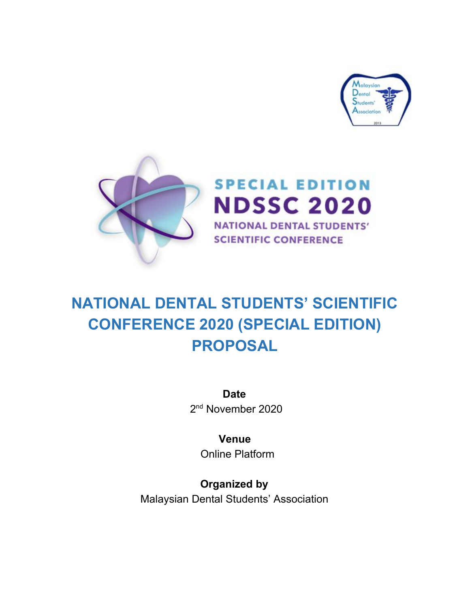



# **NATIONAL DENTAL STUDENTS' SCIENTIFIC CONFERENCE 2020 (SPECIAL EDITION) PROPOSAL**

**Date** 2<sup>nd</sup> November 2020

**Venue** Online Platform

**Organized by** Malaysian Dental Students' Association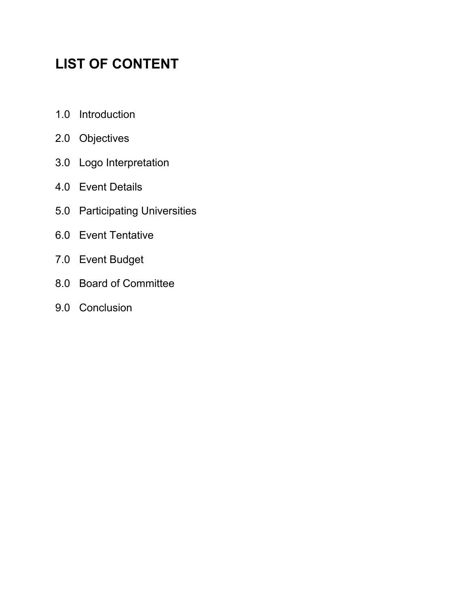# **LIST OF CONTENT**

- 1.0 Introduction
- 2.0 Objectives
- 3.0 Logo Interpretation
- 4.0 Event Details
- 5.0 Participating Universities
- 6.0 Event Tentative
- 7.0 Event Budget
- 8.0 Board of Committee
- 9.0 Conclusion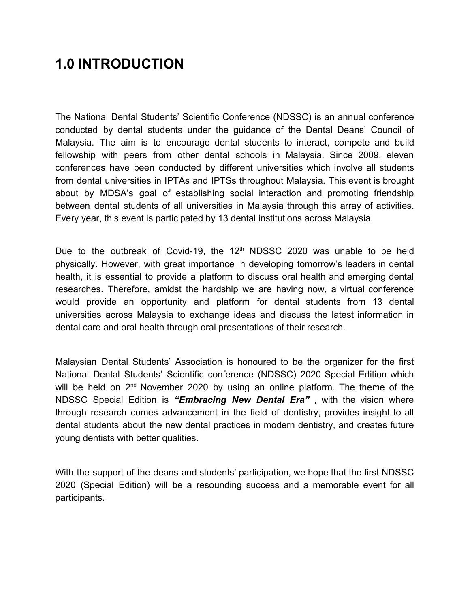### **1.0 INTRODUCTION**

The National Dental Students' Scientific Conference (NDSSC) is an annual conference conducted by dental students under the guidance of the Dental Deans' Council of Malaysia. The aim is to encourage dental students to interact, compete and build fellowship with peers from other dental schools in Malaysia. Since 2009, eleven conferences have been conducted by different universities which involve all students from dental universities in IPTAs and IPTSs throughout Malaysia. This event is brought about by MDSA's goal of establishing social interaction and promoting friendship between dental students of all universities in Malaysia through this array of activities. Every year, this event is participated by 13 dental institutions across Malaysia.

Due to the outbreak of Covid-19, the  $12<sup>th</sup>$  NDSSC 2020 was unable to be held physically. However, with great importance in developing tomorrow's leaders in dental health, it is essential to provide a platform to discuss oral health and emerging dental researches. Therefore, amidst the hardship we are having now, a virtual conference would provide an opportunity and platform for dental students from 13 dental universities across Malaysia to exchange ideas and discuss the latest information in dental care and oral health through oral presentations of their research.

Malaysian Dental Students' Association is honoured to be the organizer for the first National Dental Students' Scientific conference (NDSSC) 2020 Special Edition which will be held on  $2^{nd}$  November 2020 by using an online platform. The theme of the NDSSC Special Edition is *"Embracing New Dental Era"* , with the vision where through research comes advancement in the field of dentistry, provides insight to all dental students about the new dental practices in modern dentistry, and creates future young dentists with better qualities.

With the support of the deans and students' participation, we hope that the first NDSSC 2020 (Special Edition) will be a resounding success and a memorable event for all participants.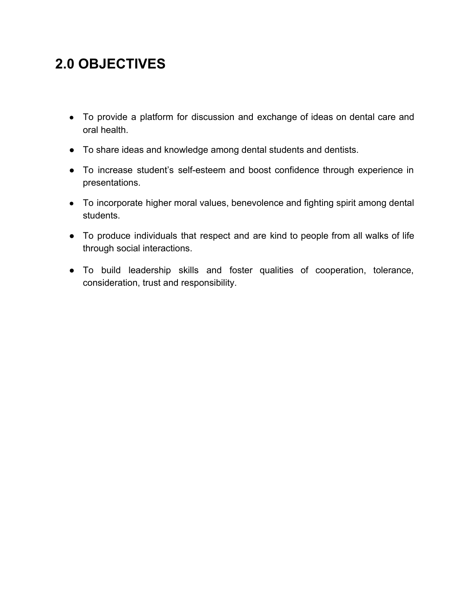### **2.0 OBJECTIVES**

- To provide a platform for discussion and exchange of ideas on dental care and oral health.
- To share ideas and knowledge among dental students and dentists.
- To increase student's self-esteem and boost confidence through experience in presentations.
- To incorporate higher moral values, benevolence and fighting spirit among dental students.
- To produce individuals that respect and are kind to people from all walks of life through social interactions.
- To build leadership skills and foster qualities of cooperation, tolerance, consideration, trust and responsibility.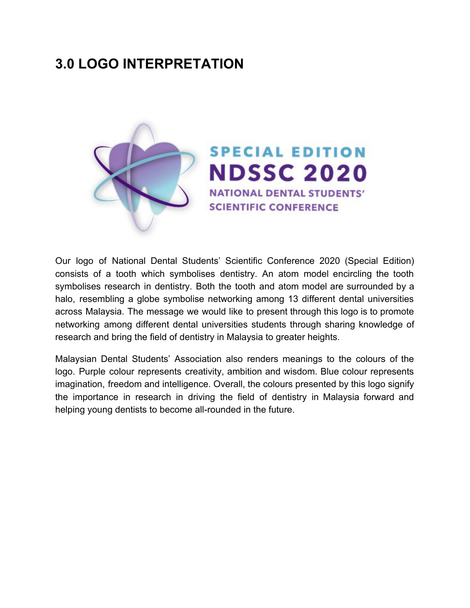### **3.0 LOGO INTERPRETATION**



Our logo of National Dental Students' Scientific Conference 2020 (Special Edition) consists of a tooth which symbolises dentistry. An atom model encircling the tooth symbolises research in dentistry. Both the tooth and atom model are surrounded by a halo, resembling a globe symbolise networking among 13 different dental universities across Malaysia. The message we would like to present through this logo is to promote networking among different dental universities students through sharing knowledge of research and bring the field of dentistry in Malaysia to greater heights.

Malaysian Dental Students' Association also renders meanings to the colours of the logo. Purple colour represents creativity, ambition and wisdom. Blue colour represents imagination, freedom and intelligence. Overall, the colours presented by this logo signify the importance in research in driving the field of dentistry in Malaysia forward and helping young dentists to become all-rounded in the future.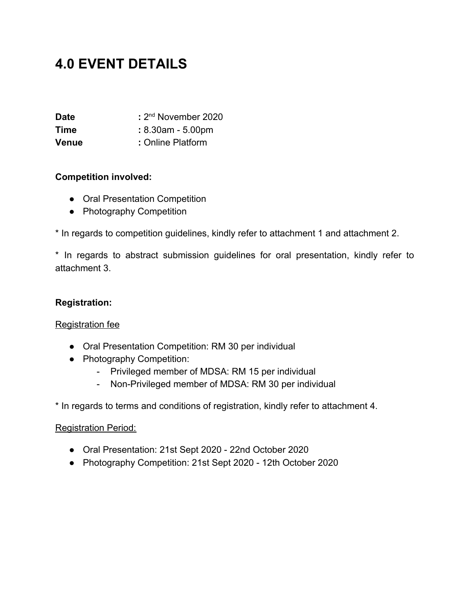### **4.0 EVENT DETAILS**

| <b>Date</b>  | : 2 <sup>nd</sup> November 2020 |
|--------------|---------------------------------|
| Time         | $: 8.30$ am - 5.00pm            |
| <b>Venue</b> | : Online Platform               |

#### **Competition involved:**

- Oral Presentation Competition
- Photography Competition

\* In regards to competition guidelines, kindly refer to attachment 1 and attachment 2.

\* In regards to abstract submission guidelines for oral presentation, kindly refer to attachment 3.

#### **Registration:**

#### Registration fee

- Oral Presentation Competition: RM 30 per individual
- Photography Competition:
	- Privileged member of MDSA: RM 15 per individual
	- Non-Privileged member of MDSA: RM 30 per individual

\* In regards to terms and conditions of registration, kindly refer to attachment 4.

#### Registration Period:

- Oral Presentation: 21st Sept 2020 22nd October 2020
- Photography Competition: 21st Sept 2020 12th October 2020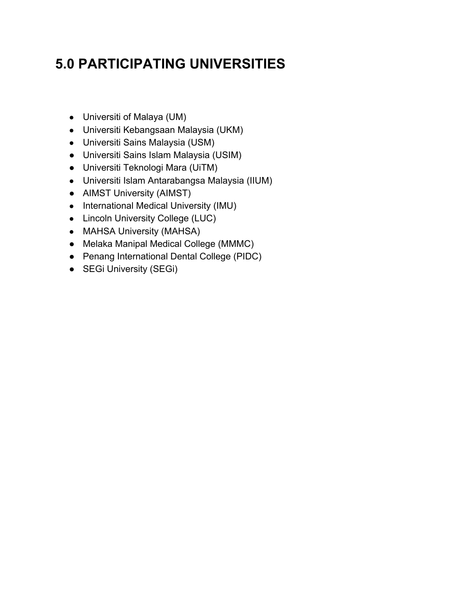## **5.0 PARTICIPATING UNIVERSITIES**

- Universiti of Malaya (UM)
- Universiti Kebangsaan Malaysia (UKM)
- Universiti Sains Malaysia (USM)
- Universiti Sains Islam Malaysia (USIM)
- Universiti Teknologi Mara (UiTM)
- Universiti Islam Antarabangsa Malaysia (IIUM)
- AIMST University (AIMST)
- International Medical University (IMU)
- Lincoln University College (LUC)
- MAHSA University (MAHSA)
- Melaka Manipal Medical College (MMMC)
- Penang International Dental College (PIDC)
- SEGi University (SEGi)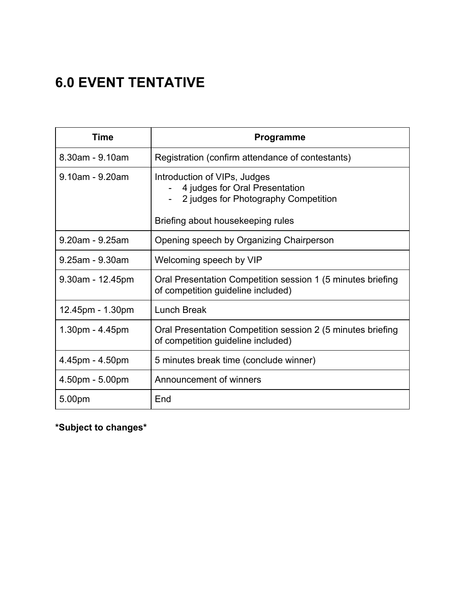# **6.0 EVENT TENTATIVE**

| Time                | <b>Programme</b>                                                                                       |
|---------------------|--------------------------------------------------------------------------------------------------------|
| 8.30am - 9.10am     | Registration (confirm attendance of contestants)                                                       |
| 9.10am - 9.20am     | Introduction of VIPs, Judges<br>4 judges for Oral Presentation<br>2 judges for Photography Competition |
|                     | Briefing about housekeeping rules                                                                      |
| 9.20am - 9.25am     | Opening speech by Organizing Chairperson                                                               |
| 9.25am - 9.30am     | Welcoming speech by VIP                                                                                |
| $9.30$ am - 12.45pm | Oral Presentation Competition session 1 (5 minutes briefing<br>of competition guideline included)      |
| 12.45pm - 1.30pm    | Lunch Break                                                                                            |
| 1.30pm - 4.45pm     | Oral Presentation Competition session 2 (5 minutes briefing<br>of competition guideline included)      |
| 4.45pm - 4.50pm     | 5 minutes break time (conclude winner)                                                                 |
| 4.50pm - 5.00pm     | Announcement of winners                                                                                |
| 5.00pm              | End                                                                                                    |

**\*Subject to changes\***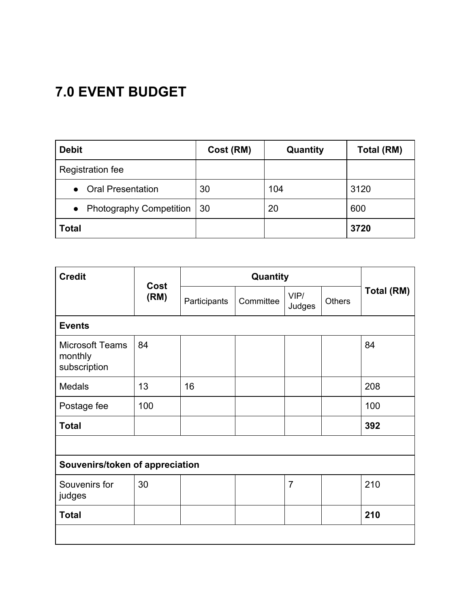# **7.0 EVENT BUDGET**

| <b>Debit</b>                                | Cost (RM) | Quantity | Total (RM) |
|---------------------------------------------|-----------|----------|------------|
| Registration fee                            |           |          |            |
| <b>Oral Presentation</b><br>$\bullet$       | 30        | 104      | 3120       |
| <b>Photography Competition</b><br>$\bullet$ | -30       | 20       | 600        |
| <b>Total</b>                                |           |          | 3720       |

| <b>Credit</b>                                     | Cost<br>(RM) | Quantity     |           |                |               |            |
|---------------------------------------------------|--------------|--------------|-----------|----------------|---------------|------------|
|                                                   |              | Participants | Committee | VIP/<br>Judges | <b>Others</b> | Total (RM) |
| <b>Events</b>                                     |              |              |           |                |               |            |
| <b>Microsoft Teams</b><br>monthly<br>subscription | 84           |              |           |                |               | 84         |
| <b>Medals</b>                                     | 13           | 16           |           |                |               | 208        |
| Postage fee                                       | 100          |              |           |                |               | 100        |
| <b>Total</b>                                      |              |              |           |                |               | 392        |
|                                                   |              |              |           |                |               |            |
| Souvenirs/token of appreciation                   |              |              |           |                |               |            |
| Souvenirs for<br>judges                           | 30           |              |           | $\overline{7}$ |               | 210        |
| <b>Total</b>                                      |              |              |           |                |               | 210        |
|                                                   |              |              |           |                |               |            |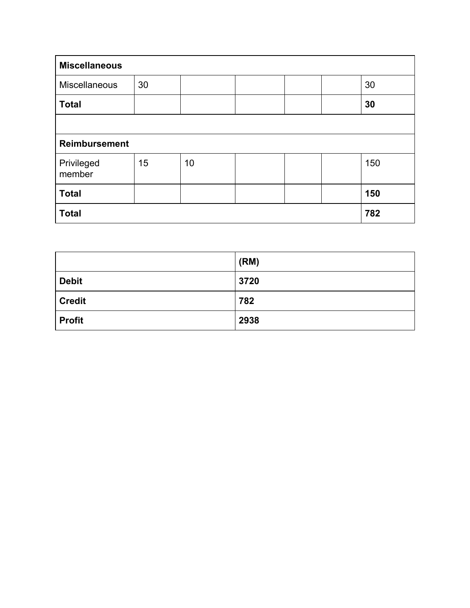| <b>Miscellaneous</b> |    |    |     |  |     |
|----------------------|----|----|-----|--|-----|
| Miscellaneous        | 30 |    |     |  | 30  |
| <b>Total</b>         |    |    |     |  | 30  |
|                      |    |    |     |  |     |
| <b>Reimbursement</b> |    |    |     |  |     |
| Privileged<br>member | 15 | 10 |     |  | 150 |
| <b>Total</b>         |    |    |     |  | 150 |
| <b>Total</b>         |    |    | 782 |  |     |

|               | (RM) |
|---------------|------|
| <b>Debit</b>  | 3720 |
| <b>Credit</b> | 782  |
| <b>Profit</b> | 2938 |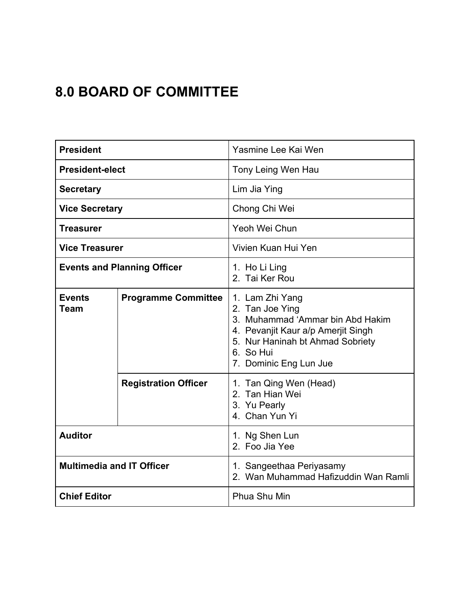## **8.0 BOARD OF COMMITTEE**

| <b>President</b>                   |                             | Yasmine Lee Kai Wen                                                                                                                                                                     |  |  |
|------------------------------------|-----------------------------|-----------------------------------------------------------------------------------------------------------------------------------------------------------------------------------------|--|--|
| <b>President-elect</b>             |                             | Tony Leing Wen Hau                                                                                                                                                                      |  |  |
| <b>Secretary</b>                   |                             | Lim Jia Ying                                                                                                                                                                            |  |  |
| <b>Vice Secretary</b>              |                             | Chong Chi Wei                                                                                                                                                                           |  |  |
| <b>Treasurer</b>                   |                             | Yeoh Wei Chun                                                                                                                                                                           |  |  |
| <b>Vice Treasurer</b>              |                             | Vivien Kuan Hui Yen                                                                                                                                                                     |  |  |
| <b>Events and Planning Officer</b> |                             | 1. Ho Li Ling<br>2. Tai Ker Rou                                                                                                                                                         |  |  |
| <b>Events</b><br>Team              | <b>Programme Committee</b>  | 1. Lam Zhi Yang<br>2. Tan Joe Ying<br>3. Muhammad 'Ammar bin Abd Hakim<br>4. Pevanjit Kaur a/p Amerjit Singh<br>5. Nur Haninah bt Ahmad Sobriety<br>6. So Hui<br>7. Dominic Eng Lun Jue |  |  |
|                                    | <b>Registration Officer</b> | 1. Tan Qing Wen (Head)<br>2. Tan Hian Wei<br>3. Yu Pearly<br>4. Chan Yun Yi                                                                                                             |  |  |
| <b>Auditor</b>                     |                             | 1. Ng Shen Lun<br>2. Foo Jia Yee                                                                                                                                                        |  |  |
| <b>Multimedia and IT Officer</b>   |                             | 1. Sangeethaa Periyasamy<br>2. Wan Muhammad Hafizuddin Wan Ramli                                                                                                                        |  |  |
| <b>Chief Editor</b>                |                             | Phua Shu Min                                                                                                                                                                            |  |  |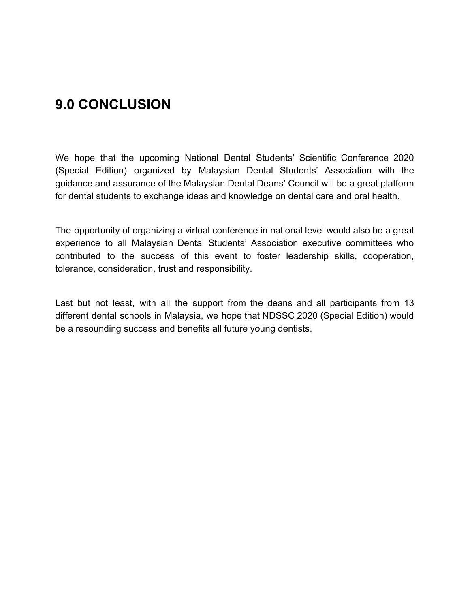### **9.0 CONCLUSION**

We hope that the upcoming National Dental Students' Scientific Conference 2020 (Special Edition) organized by Malaysian Dental Students' Association with the guidance and assurance of the Malaysian Dental Deans' Council will be a great platform for dental students to exchange ideas and knowledge on dental care and oral health.

The opportunity of organizing a virtual conference in national level would also be a great experience to all Malaysian Dental Students' Association executive committees who contributed to the success of this event to foster leadership skills, cooperation, tolerance, consideration, trust and responsibility.

Last but not least, with all the support from the deans and all participants from 13 different dental schools in Malaysia, we hope that NDSSC 2020 (Special Edition) would be a resounding success and benefits all future young dentists.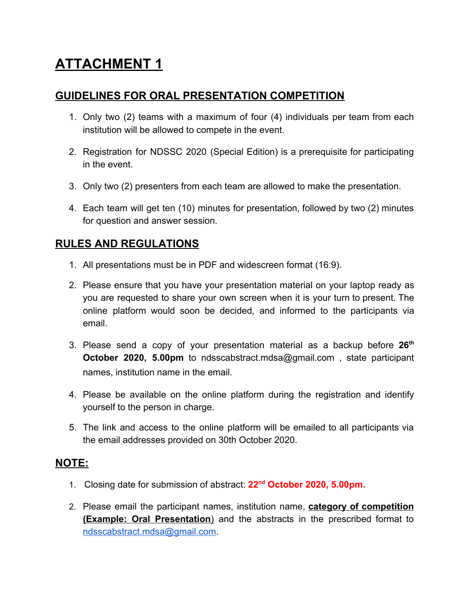#### **GUIDELINES FOR ORAL PRESENTATION COMPETITION**

- 1. Only two (2) teams with a maximum of four (4) individuals per team from each institution will be allowed to compete in the event.
- 2. Registration for NDSSC 2020 (Special Edition) is a prerequisite for participating in the event.
- 3. Only two (2) presenters from each team are allowed to make the presentation.
- 4. Each team will get ten (10) minutes for presentation, followed by two (2) minutes for question and answer session.

#### **RULES AND REGULATIONS**

- 1. All presentations must be in PDF and widescreen format (16:9).
- 2. Please ensure that you have your presentation material on your laptop ready as you are requested to share your own screen when it is your turn to present. The online platform would soon be decided, and informed to the participants via email.
- 3. Please send a copy of your presentation material as a backup before **26th October 2020, 5.00pm** to ndsscabstract.mdsa@gmail.com , state participant names, institution name in the email.
- 4. Please be available on the online platform during the registration and identify yourself to the person in charge.
- 5. The link and access to the online platform will be emailed to all participants via the email addresses provided on 30th October 2020.

#### **NOTE:**

- 1. Closing date for submission of abstract: **22nd October 2020, 5.00pm.**
- 2. Please email the participant names, institution name, **category of competition (Example: Oral Presentation**) and the abstracts in the prescribed format to [ndsscabstract.mdsa@gmail.com](mailto:ndsscabstract.mdsa@gmail.com).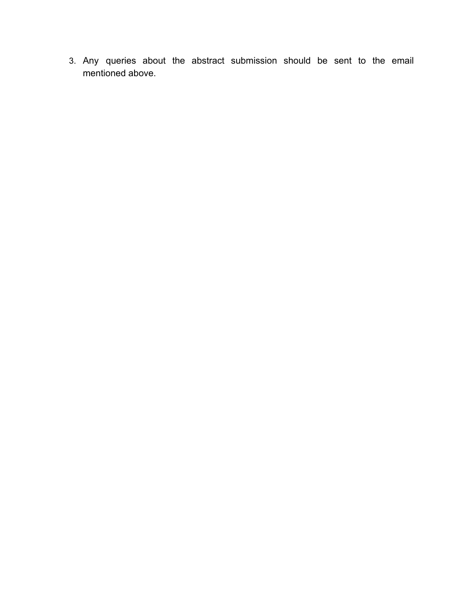3. Any queries about the abstract submission should be sent to the email mentioned above.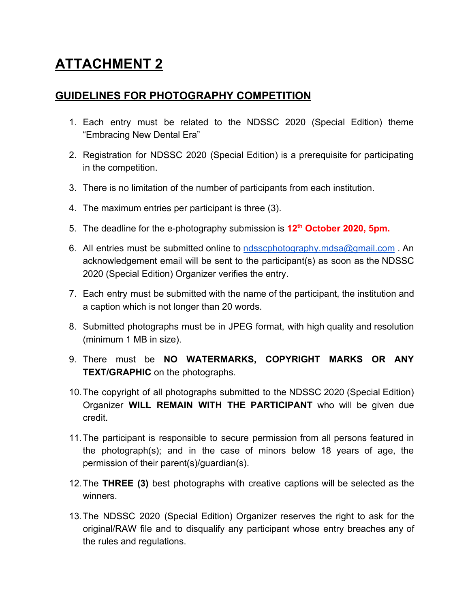#### **GUIDELINES FOR PHOTOGRAPHY COMPETITION**

- 1. Each entry must be related to the NDSSC 2020 (Special Edition) theme "Embracing New Dental Era"
- 2. Registration for NDSSC 2020 (Special Edition) is a prerequisite for participating in the competition.
- 3. There is no limitation of the number of participants from each institution.
- 4. The maximum entries per participant is three (3).
- 5. The deadline for the e-photography submission is **12th October 2020, 5pm.**
- 6. All entries must be submitted online to [ndsscphotography.mdsa@gmail.com](mailto:ndsscphotography.mdsa@gmail.com). An acknowledgement email will be sent to the participant(s) as soon as the NDSSC 2020 (Special Edition) Organizer verifies the entry.
- 7. Each entry must be submitted with the name of the participant, the institution and a caption which is not longer than 20 words.
- 8. Submitted photographs must be in JPEG format, with high quality and resolution (minimum 1 MB in size).
- 9. There must be **NO WATERMARKS, COPYRIGHT MARKS OR ANY TEXT/GRAPHIC** on the photographs.
- 10.The copyright of all photographs submitted to the NDSSC 2020 (Special Edition) Organizer **WILL REMAIN WITH THE PARTICIPANT** who will be given due credit.
- 11.The participant is responsible to secure permission from all persons featured in the photograph(s); and in the case of minors below 18 years of age, the permission of their parent(s)/guardian(s).
- 12.The **THREE (3)** best photographs with creative captions will be selected as the winners.
- 13.The NDSSC 2020 (Special Edition) Organizer reserves the right to ask for the original/RAW file and to disqualify any participant whose entry breaches any of the rules and regulations.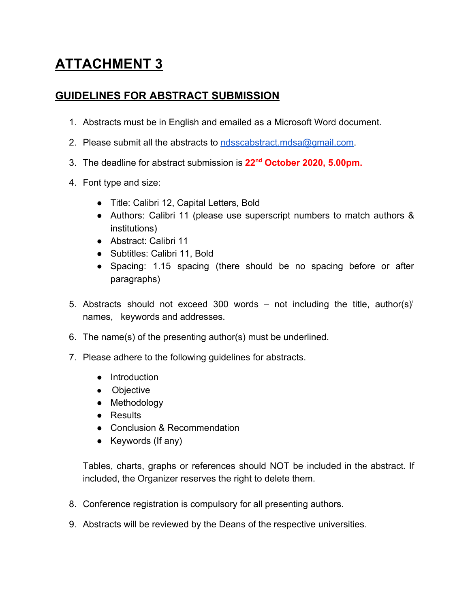#### **GUIDELINES FOR ABSTRACT SUBMISSION**

- 1. Abstracts must be in English and emailed as a Microsoft Word document.
- 2. Please submit all the abstracts to ndsscabstract mdsa@gmail.com.
- 3. The deadline for abstract submission is **22nd October 2020, 5.00pm.**
- 4. Font type and size:
	- Title: Calibri 12, Capital Letters, Bold
	- Authors: Calibri 11 (please use superscript numbers to match authors & institutions)
	- Abstract: Calibri 11
	- Subtitles: Calibri 11, Bold
	- Spacing: 1.15 spacing (there should be no spacing before or after paragraphs)
- 5. Abstracts should not exceed 300 words not including the title, author(s)' names, keywords and addresses.
- 6. The name(s) of the presenting author(s) must be underlined.
- 7. Please adhere to the following guidelines for abstracts.
	- Introduction
	- Objective
	- Methodology
	- Results
	- Conclusion & Recommendation
	- Keywords (If any)

Tables, charts, graphs or references should NOT be included in the abstract. If included, the Organizer reserves the right to delete them.

- 8. Conference registration is compulsory for all presenting authors.
- 9. Abstracts will be reviewed by the Deans of the respective universities.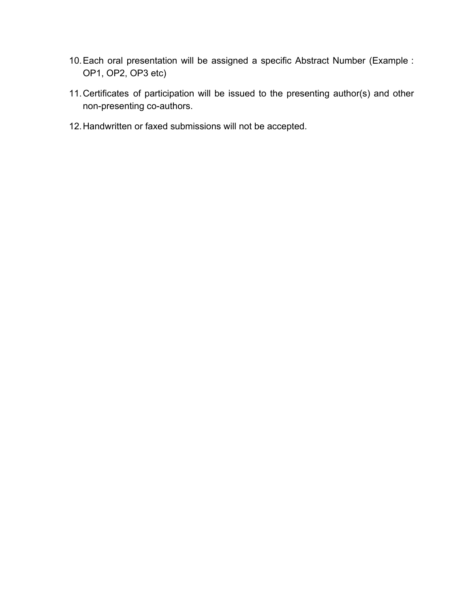- 10.Each oral presentation will be assigned a specific Abstract Number (Example : OP1, OP2, OP3 etc)
- 11.Certificates of participation will be issued to the presenting author(s) and other non-presenting co-authors.
- 12.Handwritten or faxed submissions will not be accepted.